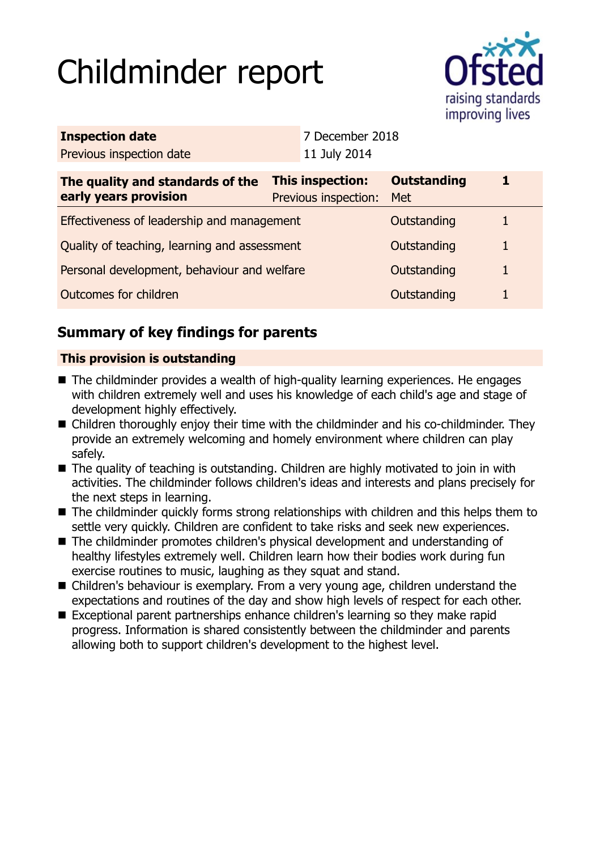# Childminder report



| <b>Inspection date</b>                                    |                                          | 7 December 2018 |                           |  |
|-----------------------------------------------------------|------------------------------------------|-----------------|---------------------------|--|
| Previous inspection date                                  |                                          | 11 July 2014    |                           |  |
| The quality and standards of the<br>early years provision | This inspection:<br>Previous inspection: |                 | <b>Outstanding</b><br>Met |  |
| Effectiveness of leadership and management                |                                          |                 | Outstanding               |  |
| Quality of teaching, learning and assessment              |                                          |                 | Outstanding               |  |
| Personal development, behaviour and welfare               |                                          |                 | Outstanding               |  |
| Outcomes for children<br>Outstanding                      |                                          |                 |                           |  |
|                                                           |                                          |                 |                           |  |

# **Summary of key findings for parents**

## **This provision is outstanding**

- The childminder provides a wealth of high-quality learning experiences. He engages with children extremely well and uses his knowledge of each child's age and stage of development highly effectively.
- Children thoroughly enjoy their time with the childminder and his co-childminder. They provide an extremely welcoming and homely environment where children can play safely.
- $\blacksquare$  The quality of teaching is outstanding. Children are highly motivated to join in with activities. The childminder follows children's ideas and interests and plans precisely for the next steps in learning.
- The childminder quickly forms strong relationships with children and this helps them to settle very quickly. Children are confident to take risks and seek new experiences.
- The childminder promotes children's physical development and understanding of healthy lifestyles extremely well. Children learn how their bodies work during fun exercise routines to music, laughing as they squat and stand.
- Children's behaviour is exemplary. From a very young age, children understand the expectations and routines of the day and show high levels of respect for each other.
- Exceptional parent partnerships enhance children's learning so they make rapid progress. Information is shared consistently between the childminder and parents allowing both to support children's development to the highest level.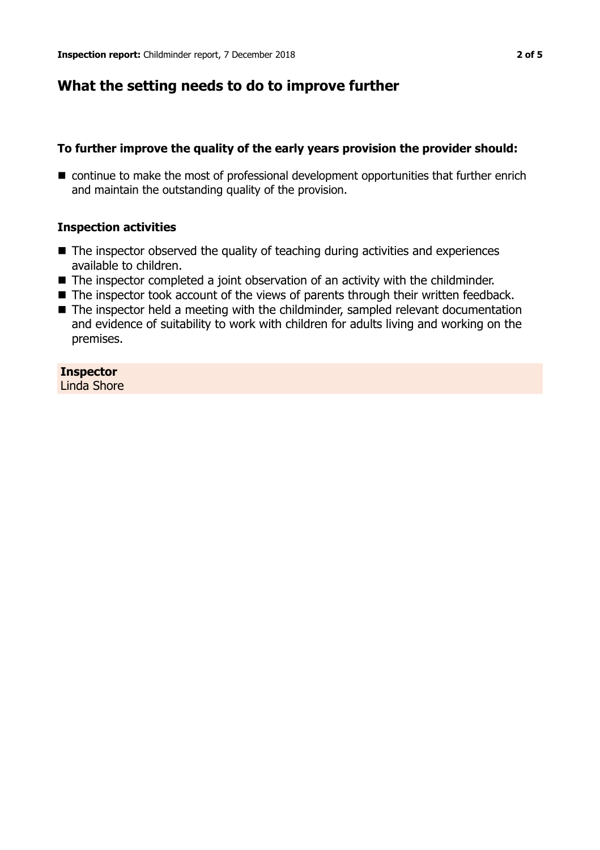## **What the setting needs to do to improve further**

### **To further improve the quality of the early years provision the provider should:**

■ continue to make the most of professional development opportunities that further enrich and maintain the outstanding quality of the provision.

#### **Inspection activities**

- $\blacksquare$  The inspector observed the quality of teaching during activities and experiences available to children.
- $\blacksquare$  The inspector completed a joint observation of an activity with the childminder.
- The inspector took account of the views of parents through their written feedback.
- The inspector held a meeting with the childminder, sampled relevant documentation and evidence of suitability to work with children for adults living and working on the premises.

**Inspector** Linda Shore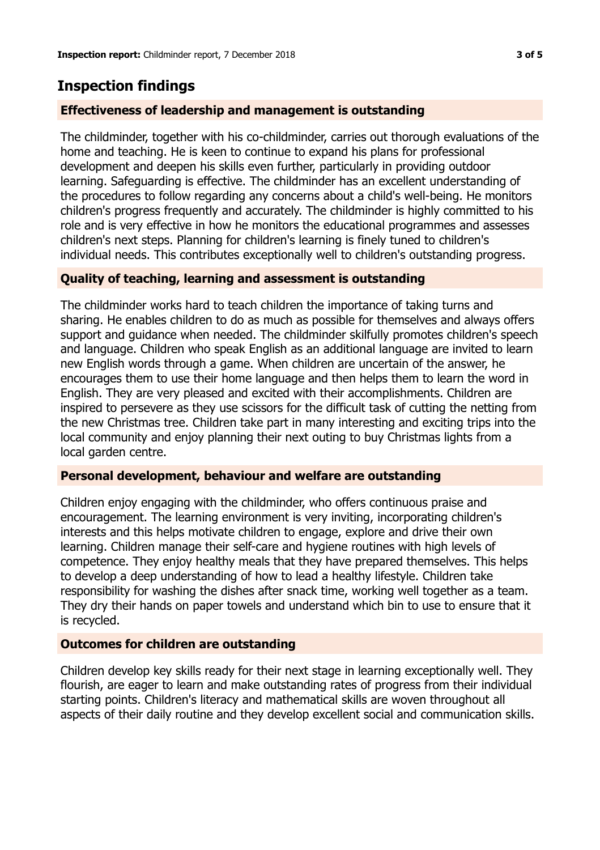## **Inspection findings**

## **Effectiveness of leadership and management is outstanding**

The childminder, together with his co-childminder, carries out thorough evaluations of the home and teaching. He is keen to continue to expand his plans for professional development and deepen his skills even further, particularly in providing outdoor learning. Safeguarding is effective. The childminder has an excellent understanding of the procedures to follow regarding any concerns about a child's well-being. He monitors children's progress frequently and accurately. The childminder is highly committed to his role and is very effective in how he monitors the educational programmes and assesses children's next steps. Planning for children's learning is finely tuned to children's individual needs. This contributes exceptionally well to children's outstanding progress.

## **Quality of teaching, learning and assessment is outstanding**

The childminder works hard to teach children the importance of taking turns and sharing. He enables children to do as much as possible for themselves and always offers support and guidance when needed. The childminder skilfully promotes children's speech and language. Children who speak English as an additional language are invited to learn new English words through a game. When children are uncertain of the answer, he encourages them to use their home language and then helps them to learn the word in English. They are very pleased and excited with their accomplishments. Children are inspired to persevere as they use scissors for the difficult task of cutting the netting from the new Christmas tree. Children take part in many interesting and exciting trips into the local community and enjoy planning their next outing to buy Christmas lights from a local garden centre.

#### **Personal development, behaviour and welfare are outstanding**

Children enjoy engaging with the childminder, who offers continuous praise and encouragement. The learning environment is very inviting, incorporating children's interests and this helps motivate children to engage, explore and drive their own learning. Children manage their self-care and hygiene routines with high levels of competence. They enjoy healthy meals that they have prepared themselves. This helps to develop a deep understanding of how to lead a healthy lifestyle. Children take responsibility for washing the dishes after snack time, working well together as a team. They dry their hands on paper towels and understand which bin to use to ensure that it is recycled.

#### **Outcomes for children are outstanding**

Children develop key skills ready for their next stage in learning exceptionally well. They flourish, are eager to learn and make outstanding rates of progress from their individual starting points. Children's literacy and mathematical skills are woven throughout all aspects of their daily routine and they develop excellent social and communication skills.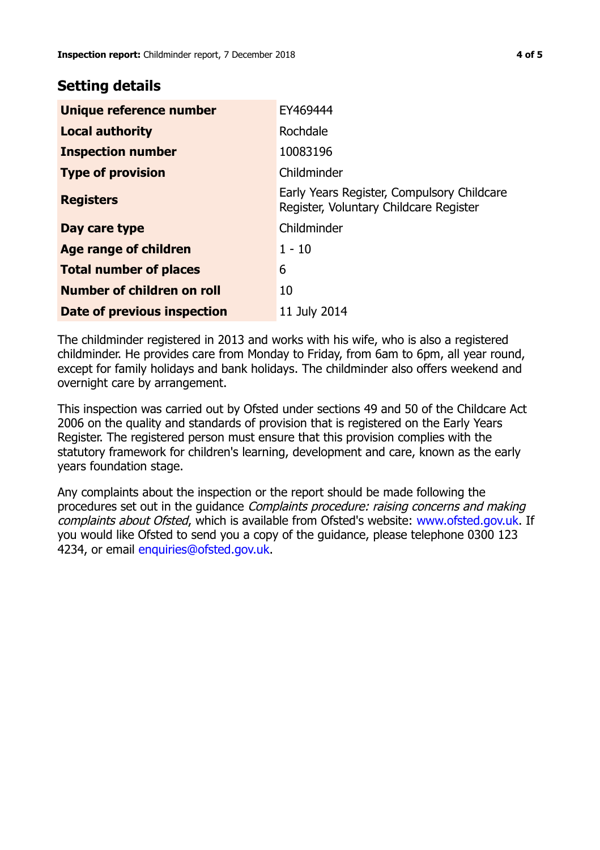## **Setting details**

| Unique reference number       | EY469444                                                                             |  |
|-------------------------------|--------------------------------------------------------------------------------------|--|
| <b>Local authority</b>        | Rochdale                                                                             |  |
| <b>Inspection number</b>      | 10083196                                                                             |  |
| <b>Type of provision</b>      | Childminder                                                                          |  |
| <b>Registers</b>              | Early Years Register, Compulsory Childcare<br>Register, Voluntary Childcare Register |  |
| Day care type                 | Childminder                                                                          |  |
| Age range of children         | $1 - 10$                                                                             |  |
| <b>Total number of places</b> | 6                                                                                    |  |
| Number of children on roll    | 10                                                                                   |  |
| Date of previous inspection   | 11 July 2014                                                                         |  |

The childminder registered in 2013 and works with his wife, who is also a registered childminder. He provides care from Monday to Friday, from 6am to 6pm, all year round, except for family holidays and bank holidays. The childminder also offers weekend and overnight care by arrangement.

This inspection was carried out by Ofsted under sections 49 and 50 of the Childcare Act 2006 on the quality and standards of provision that is registered on the Early Years Register. The registered person must ensure that this provision complies with the statutory framework for children's learning, development and care, known as the early years foundation stage.

Any complaints about the inspection or the report should be made following the procedures set out in the guidance Complaints procedure: raising concerns and making complaints about Ofsted, which is available from Ofsted's website: www.ofsted.gov.uk. If you would like Ofsted to send you a copy of the guidance, please telephone 0300 123 4234, or email [enquiries@ofsted.gov.uk.](mailto:enquiries@ofsted.gov.uk)